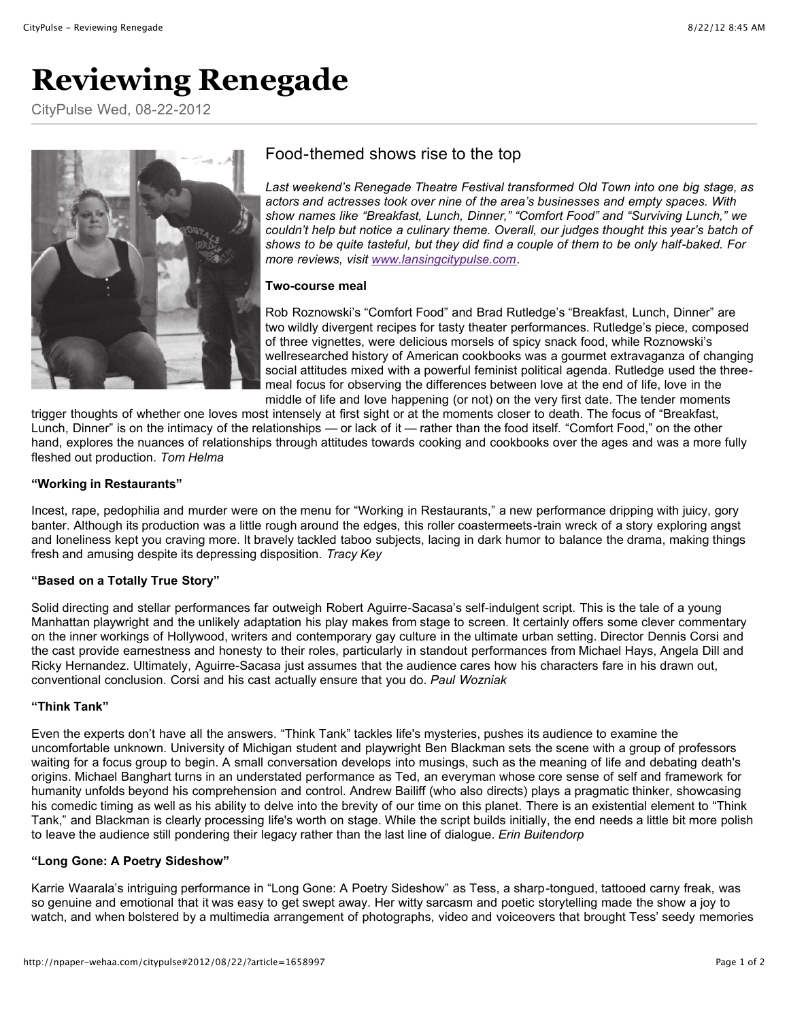# **Reviewing Renegade**

CityPulse Wed, 08-22-2012



# Food-themed shows rise to the top

*Last weekend's Renegade Theatre Festival transformed Old Town into one big stage, as actors and actresses took over nine of the area's businesses and empty spaces. With show names like "Breakfast, Lunch, Dinner," "Comfort Food" and "Surviving Lunch," we couldn't help but notice a culinary theme. Overall, our judges thought this year's batch of shows to be quite tasteful, but they did find a couple of them to be only half-baked. For more reviews, visit [www.lansingcitypulse.com](http://www.lansingcitypulse.com/).*

#### **Two-course meal**

Rob Roznowski's "Comfort Food" and Brad Rutledge's "Breakfast, Lunch, Dinner" are two wildly divergent recipes for tasty theater performances. Rutledge's piece, composed of three vignettes, were delicious morsels of spicy snack food, while Roznowski's wellresearched history of American cookbooks was a gourmet extravaganza of changing social attitudes mixed with a powerful feminist political agenda. Rutledge used the threemeal focus for observing the differences between love at the end of life, love in the middle of life and love happening (or not) on the very first date. The tender moments

trigger thoughts of whether one loves most intensely at first sight or at the moments closer to death. The focus of "Breakfast, Lunch, Dinner" is on the intimacy of the relationships — or lack of it — rather than the food itself. "Comfort Food," on the other hand, explores the nuances of relationships through attitudes towards cooking and cookbooks over the ages and was a more fully fleshed out production. *Tom Helma* 

## **"Working in Restaurants"**

Incest, rape, pedophilia and murder were on the menu for "Working in Restaurants," a new performance dripping with juicy, gory banter. Although its production was a little rough around the edges, this roller coastermeets-train wreck of a story exploring angst and loneliness kept you craving more. It bravely tackled taboo subjects, lacing in dark humor to balance the drama, making things fresh and amusing despite its depressing disposition. *Tracy Key*

## **"Based on a Totally True Story"**

Solid directing and stellar performances far outweigh Robert Aguirre-Sacasa's self-indulgent script. This is the tale of a young Manhattan playwright and the unlikely adaptation his play makes from stage to screen. It certainly offers some clever commentary on the inner workings of Hollywood, writers and contemporary gay culture in the ultimate urban setting. Director Dennis Corsi and the cast provide earnestness and honesty to their roles, particularly in standout performances from Michael Hays, Angela Dill and Ricky Hernandez. Ultimately, Aguirre-Sacasa just assumes that the audience cares how his characters fare in his drawn out, conventional conclusion. Corsi and his cast actually ensure that you do. *Paul Wozniak*

## **"Think Tank"**

Even the experts don't have all the answers. "Think Tank" tackles life's mysteries, pushes its audience to examine the uncomfortable unknown. University of Michigan student and playwright Ben Blackman sets the scene with a group of professors waiting for a focus group to begin. A small conversation develops into musings, such as the meaning of life and debating death's origins. Michael Banghart turns in an understated performance as Ted, an everyman whose core sense of self and framework for humanity unfolds beyond his comprehension and control. Andrew Bailiff (who also directs) plays a pragmatic thinker, showcasing his comedic timing as well as his ability to delve into the brevity of our time on this planet. There is an existential element to "Think Tank," and Blackman is clearly processing life's worth on stage. While the script builds initially, the end needs a little bit more polish to leave the audience still pondering their legacy rather than the last line of dialogue. *Erin Buitendorp*

## **"Long Gone: A Poetry Sideshow"**

Karrie Waarala's intriguing performance in "Long Gone: A Poetry Sideshow" as Tess, a sharp-tongued, tattooed carny freak, was so genuine and emotional that it was easy to get swept away. Her witty sarcasm and poetic storytelling made the show a joy to watch, and when bolstered by a multimedia arrangement of photographs, video and voiceovers that brought Tess' seedy memories